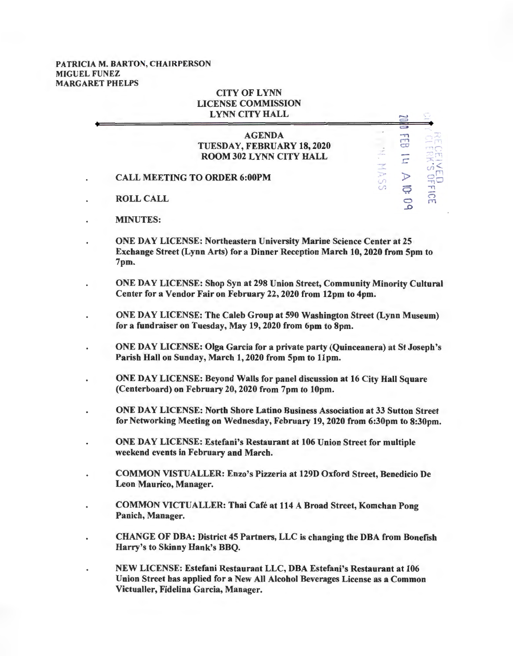## PATRJCIA M. BARTON, CHAIRPERSON MIGUEL FUNEZ MARGARET PHELPS

## CITY OFLYNN LICENSE COMMISSION LYNN CITY HALL

|                                     | <b>AGENDA</b>                  |   |   |
|-------------------------------------|--------------------------------|---|---|
|                                     | TUESDAY, FEBRUARY 18, 2020     |   |   |
|                                     | <b>ROOM 302 LYNN CITY HALL</b> |   |   |
|                                     |                                |   |   |
| <b>CALL MEETING TO ORDER 6:00PM</b> |                                |   |   |
|                                     |                                | σ |   |
| <b>ROLL CALL</b>                    |                                |   | m |
|                                     |                                |   |   |

 $\equiv$ 

- MINUTES:
- ONE DAY LICENSE: Northeastern University Marine Science Center at 25 Exchange Street (Lynn Arts) for a Dinner Reception March 10, 2020 from 5pm to 7pm.
- ONE DAY LICENSE: Shop Syn at 298 Union Street, Community Minority Cultural Center for a Vendor Fair on February 22, 2020 from 12pm to 4pm.
- ONE DAY LICENSE: The Caleb Group at 590 Washington Street (Lynn Museum) for a fundraiser on Tuesday, May 19, 2020 from 6pm to 8pm.
- ONE DAY LICENSE: Olga Garcia for a private party (Quinceanera) at St Joseph's Parish Hall on Sunday, March 1, 2020 from 5pm to llpm.
- ONE DAY LICENSE: Beyond Walls for panel discussion at 16 City Hall Square (Centerboard) on February 20, 2020 from 7pm to lOpm.
- ONE DAY LICENSE: North Shore Latino Business Association at 33 Sutton Street for Networking Meeting on Wednesday, February 19, 2020 from 6:30pm to 8:30pm.
- ONE DAY LICENSE: Estefani's Restaurant at 106 Union Street for multiple weekend events in February and March.
- COMMON VISTUALLER: Enzo's Pizzeria at 129D Oxford Street, Benedicio De Leon Maurico, Manager.
- COMMON VICTUALLER: Thai Cafe at 114 A Broad Street, Komchan Pong Panich, Manager.
- CHANGE OF DBA: District 45 Partners, LLC is changing the DBA from Bonefish Harry's to Skinny Hank's BBQ.
- NEW LICENSE: Estefani Restaurant LLC, DBA Estefani's Restaurant at 106 Union Street has applied for a New All Alcohol Beverages License as a Common Victualler, Fidelina Garcia, Manager.